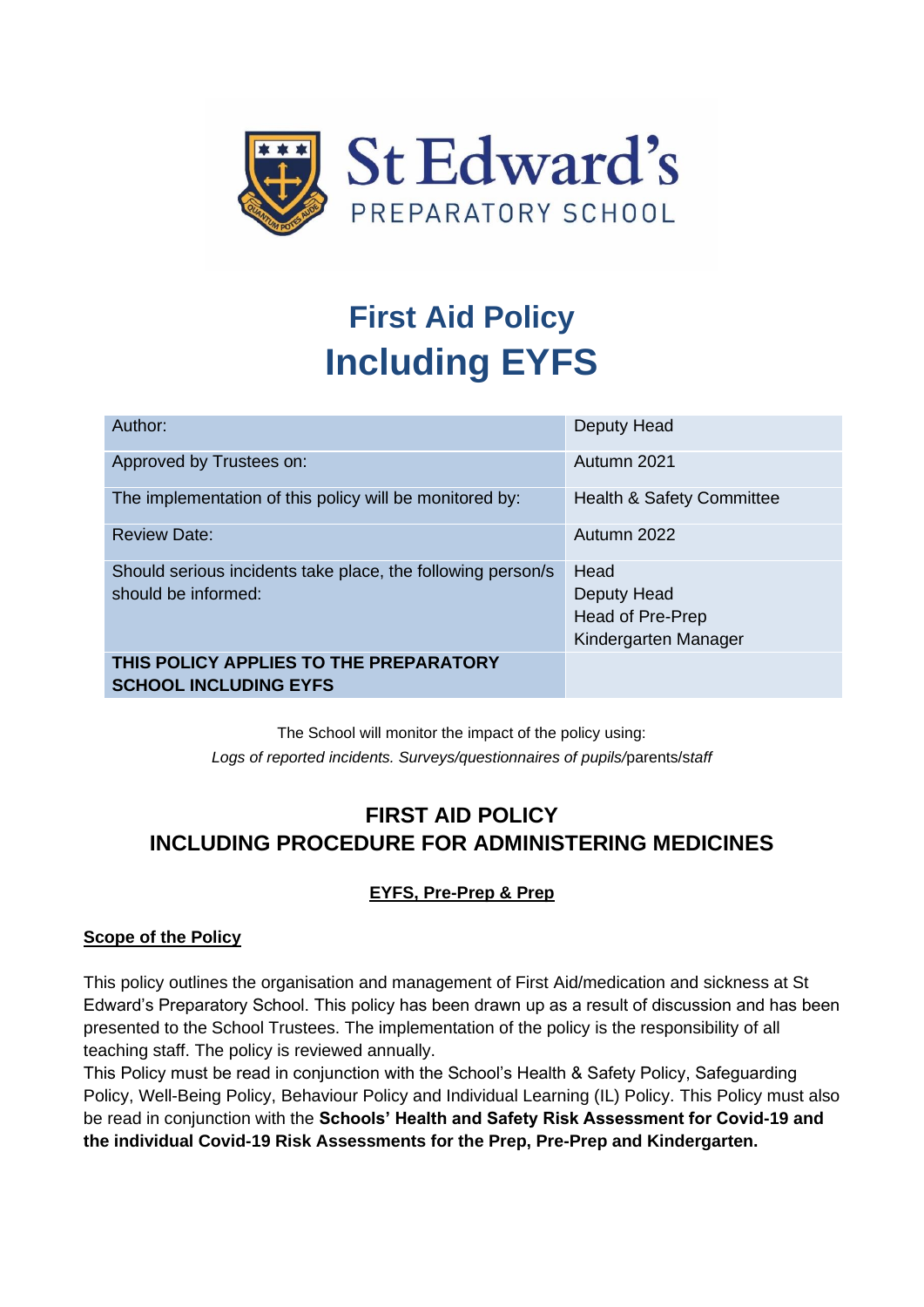

# **First Aid Policy Including EYFS**

| Author:                                                     | Deputy Head                          |
|-------------------------------------------------------------|--------------------------------------|
| Approved by Trustees on:                                    | Autumn 2021                          |
| The implementation of this policy will be monitored by:     | <b>Health &amp; Safety Committee</b> |
| <b>Review Date:</b>                                         | Autumn 2022                          |
| Should serious incidents take place, the following person/s | Head                                 |
| should be informed:                                         | Deputy Head                          |
|                                                             | Head of Pre-Prep                     |
|                                                             | Kindergarten Manager                 |
| THIS POLICY APPLIES TO THE PREPARATORY                      |                                      |
| <b>SCHOOL INCLUDING EYFS</b>                                |                                      |

The School will monitor the impact of the policy using: *Logs of reported incidents. Surveys/questionnaires of pupils/*parents/s*taff*

# **FIRST AID POLICY INCLUDING PROCEDURE FOR ADMINISTERING MEDICINES**

# **EYFS, Pre-Prep & Prep**

#### **Scope of the Policy**

This policy outlines the organisation and management of First Aid/medication and sickness at St Edward's Preparatory School. This policy has been drawn up as a result of discussion and has been presented to the School Trustees. The implementation of the policy is the responsibility of all teaching staff. The policy is reviewed annually.

This Policy must be read in conjunction with the School's Health & Safety Policy, Safeguarding Policy, Well-Being Policy, Behaviour Policy and Individual Learning (IL) Policy. This Policy must also be read in conjunction with the **Schools' Health and Safety Risk Assessment for Covid-19 and the individual Covid-19 Risk Assessments for the Prep, Pre-Prep and Kindergarten.**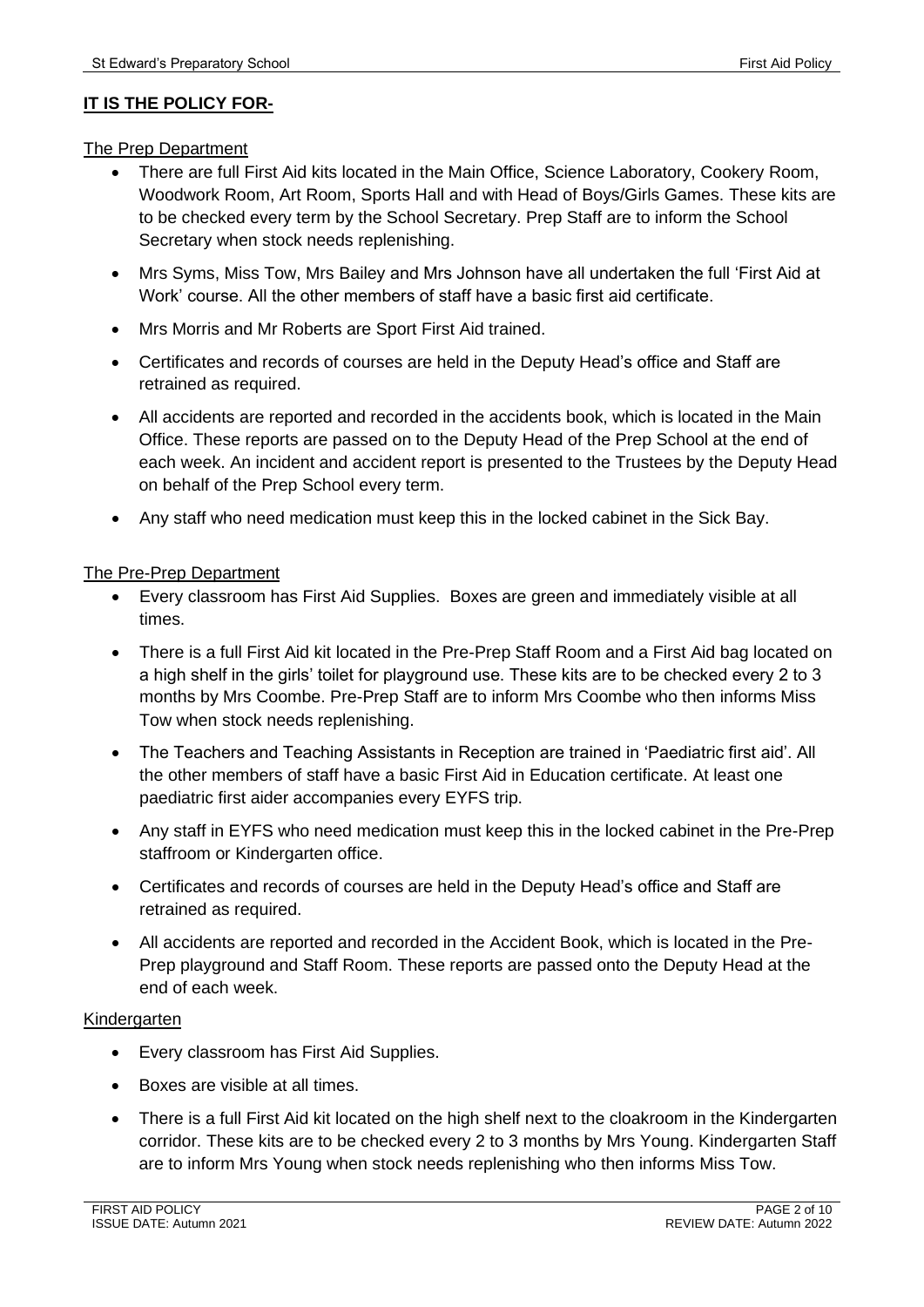#### **IT IS THE POLICY FOR-**

The Prep Department

- There are full First Aid kits located in the Main Office, Science Laboratory, Cookery Room, Woodwork Room, Art Room, Sports Hall and with Head of Boys/Girls Games. These kits are to be checked every term by the School Secretary. Prep Staff are to inform the School Secretary when stock needs replenishing.
- Mrs Syms, Miss Tow, Mrs Bailey and Mrs Johnson have all undertaken the full 'First Aid at Work' course. All the other members of staff have a basic first aid certificate.
- Mrs Morris and Mr Roberts are Sport First Aid trained.
- Certificates and records of courses are held in the Deputy Head's office and Staff are retrained as required.
- All accidents are reported and recorded in the accidents book, which is located in the Main Office. These reports are passed on to the Deputy Head of the Prep School at the end of each week. An incident and accident report is presented to the Trustees by the Deputy Head on behalf of the Prep School every term.
- Any staff who need medication must keep this in the locked cabinet in the Sick Bay.

#### The Pre-Prep Department

- Every classroom has First Aid Supplies. Boxes are green and immediately visible at all times.
- There is a full First Aid kit located in the Pre-Prep Staff Room and a First Aid bag located on a high shelf in the girls' toilet for playground use. These kits are to be checked every 2 to 3 months by Mrs Coombe. Pre-Prep Staff are to inform Mrs Coombe who then informs Miss Tow when stock needs replenishing.
- The Teachers and Teaching Assistants in Reception are trained in 'Paediatric first aid'. All the other members of staff have a basic First Aid in Education certificate. At least one paediatric first aider accompanies every EYFS trip.
- Any staff in EYFS who need medication must keep this in the locked cabinet in the Pre-Prep staffroom or Kindergarten office.
- Certificates and records of courses are held in the Deputy Head's office and Staff are retrained as required.
- All accidents are reported and recorded in the Accident Book, which is located in the Pre-Prep playground and Staff Room. These reports are passed onto the Deputy Head at the end of each week.

#### Kindergarten

- Every classroom has First Aid Supplies.
- Boxes are visible at all times.
- There is a full First Aid kit located on the high shelf next to the cloakroom in the Kindergarten corridor. These kits are to be checked every 2 to 3 months by Mrs Young. Kindergarten Staff are to inform Mrs Young when stock needs replenishing who then informs Miss Tow.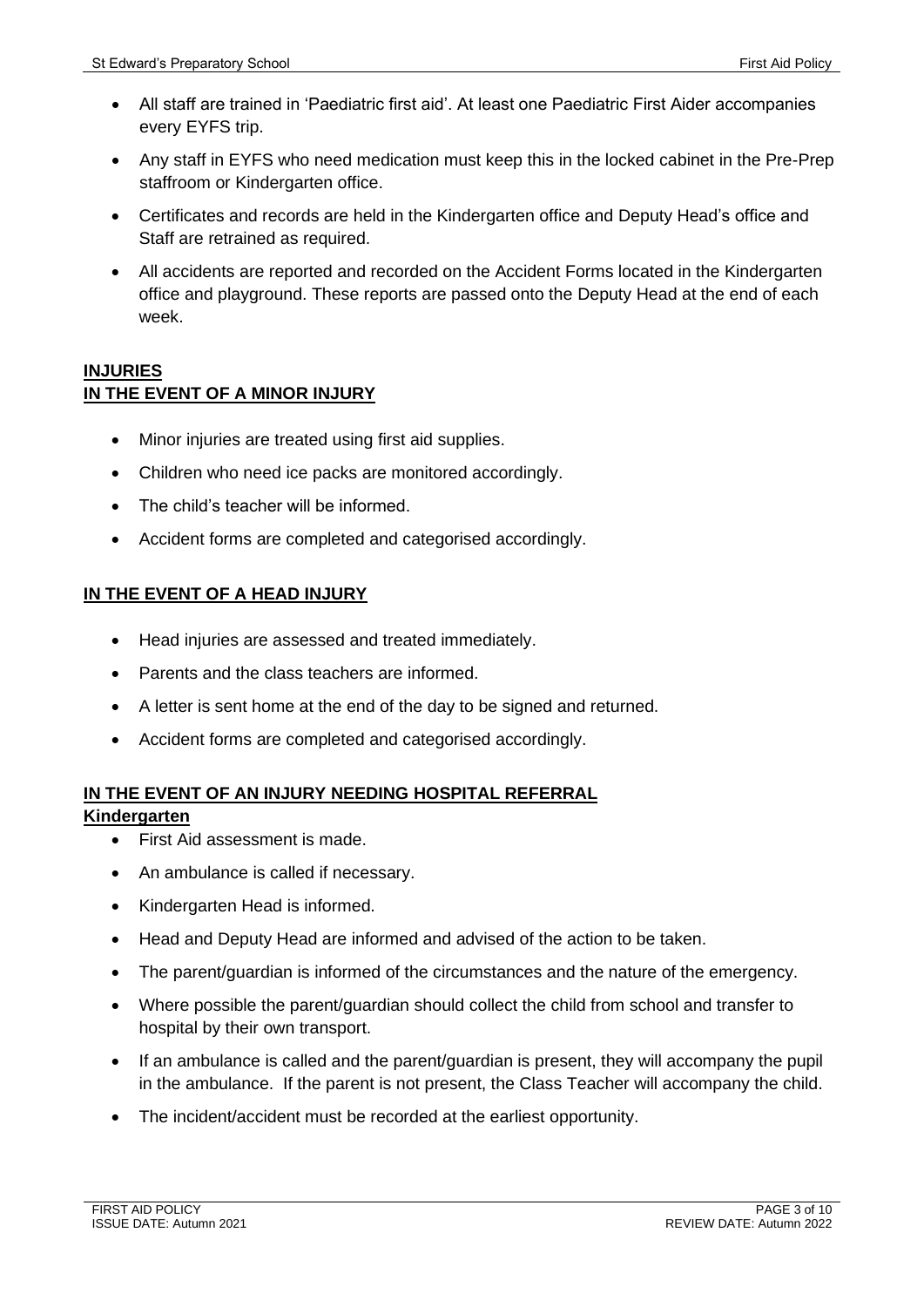- All staff are trained in 'Paediatric first aid'. At least one Paediatric First Aider accompanies every EYFS trip.
- Any staff in EYFS who need medication must keep this in the locked cabinet in the Pre-Prep staffroom or Kindergarten office.
- Certificates and records are held in the Kindergarten office and Deputy Head's office and Staff are retrained as required.
- All accidents are reported and recorded on the Accident Forms located in the Kindergarten office and playground. These reports are passed onto the Deputy Head at the end of each week.

#### **INJURIES IN THE EVENT OF A MINOR INJURY**

- Minor injuries are treated using first aid supplies.
- Children who need ice packs are monitored accordingly.
- The child's teacher will be informed.
- Accident forms are completed and categorised accordingly.

#### **IN THE EVENT OF A HEAD INJURY**

- Head injuries are assessed and treated immediately.
- Parents and the class teachers are informed.
- A letter is sent home at the end of the day to be signed and returned.
- Accident forms are completed and categorised accordingly.

# **IN THE EVENT OF AN INJURY NEEDING HOSPITAL REFERRAL**

#### **Kindergarten**

- First Aid assessment is made.
- An ambulance is called if necessary.
- Kindergarten Head is informed.
- Head and Deputy Head are informed and advised of the action to be taken.
- The parent/guardian is informed of the circumstances and the nature of the emergency.
- Where possible the parent/guardian should collect the child from school and transfer to hospital by their own transport.
- If an ambulance is called and the parent/guardian is present, they will accompany the pupil in the ambulance. If the parent is not present, the Class Teacher will accompany the child.
- The incident/accident must be recorded at the earliest opportunity.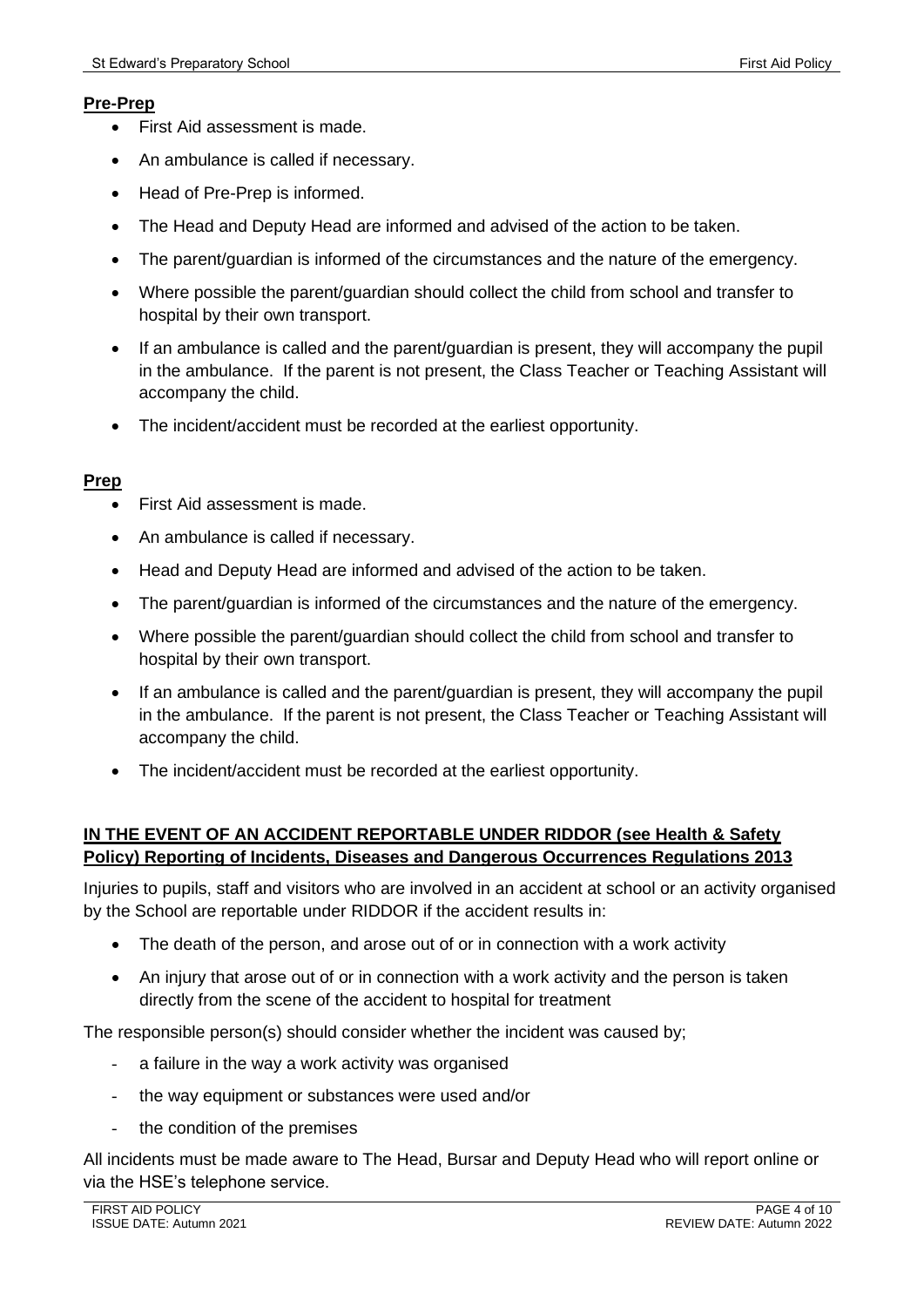#### **Pre-Prep**

- First Aid assessment is made.
- An ambulance is called if necessary.
- Head of Pre-Prep is informed.
- The Head and Deputy Head are informed and advised of the action to be taken.
- The parent/guardian is informed of the circumstances and the nature of the emergency.
- Where possible the parent/guardian should collect the child from school and transfer to hospital by their own transport.
- If an ambulance is called and the parent/guardian is present, they will accompany the pupil in the ambulance. If the parent is not present, the Class Teacher or Teaching Assistant will accompany the child.
- The incident/accident must be recorded at the earliest opportunity.

#### **Prep**

- First Aid assessment is made.
- An ambulance is called if necessary.
- Head and Deputy Head are informed and advised of the action to be taken.
- The parent/guardian is informed of the circumstances and the nature of the emergency.
- Where possible the parent/guardian should collect the child from school and transfer to hospital by their own transport.
- If an ambulance is called and the parent/guardian is present, they will accompany the pupil in the ambulance. If the parent is not present, the Class Teacher or Teaching Assistant will accompany the child.
- The incident/accident must be recorded at the earliest opportunity.

#### **IN THE EVENT OF AN ACCIDENT REPORTABLE UNDER RIDDOR (see Health & Safety Policy) Reporting of Incidents, Diseases and Dangerous Occurrences Regulations 2013**

Injuries to pupils, staff and visitors who are involved in an accident at school or an activity organised by the School are reportable under RIDDOR if the accident results in:

- The death of the person, and arose out of or in connection with a work activity
- An injury that arose out of or in connection with a work activity and the person is taken directly from the scene of the accident to hospital for treatment

The responsible person(s) should consider whether the incident was caused by;

- a failure in the way a work activity was organised
- the way equipment or substances were used and/or
- the condition of the premises

All incidents must be made aware to The Head, Bursar and Deputy Head who will report online or via the HSE's telephone service.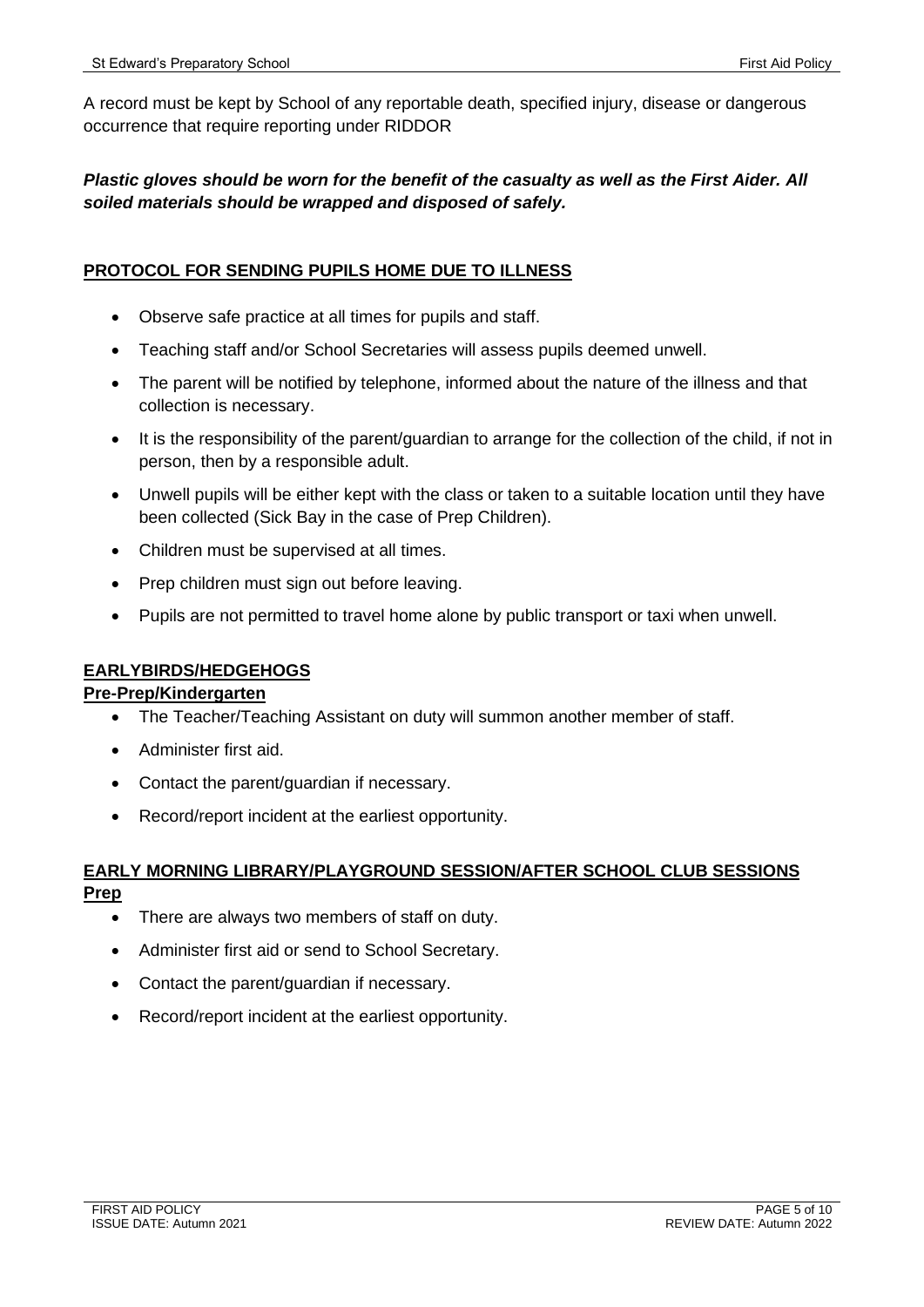A record must be kept by School of any reportable death, specified injury, disease or dangerous occurrence that require reporting under RIDDOR

## *Plastic gloves should be worn for the benefit of the casualty as well as the First Aider. All soiled materials should be wrapped and disposed of safely.*

#### **PROTOCOL FOR SENDING PUPILS HOME DUE TO ILLNESS**

- Observe safe practice at all times for pupils and staff.
- Teaching staff and/or School Secretaries will assess pupils deemed unwell.
- The parent will be notified by telephone, informed about the nature of the illness and that collection is necessary.
- It is the responsibility of the parent/guardian to arrange for the collection of the child, if not in person, then by a responsible adult.
- Unwell pupils will be either kept with the class or taken to a suitable location until they have been collected (Sick Bay in the case of Prep Children).
- Children must be supervised at all times.
- Prep children must sign out before leaving.
- Pupils are not permitted to travel home alone by public transport or taxi when unwell.

#### **EARLYBIRDS/HEDGEHOGS**

#### **Pre-Prep/Kindergarten**

- The Teacher/Teaching Assistant on duty will summon another member of staff.
- Administer first aid.
- Contact the parent/guardian if necessary.
- Record/report incident at the earliest opportunity.

# **EARLY MORNING LIBRARY/PLAYGROUND SESSION/AFTER SCHOOL CLUB SESSIONS**

#### **Prep**

- There are always two members of staff on duty.
- Administer first aid or send to School Secretary.
- Contact the parent/guardian if necessary.
- Record/report incident at the earliest opportunity.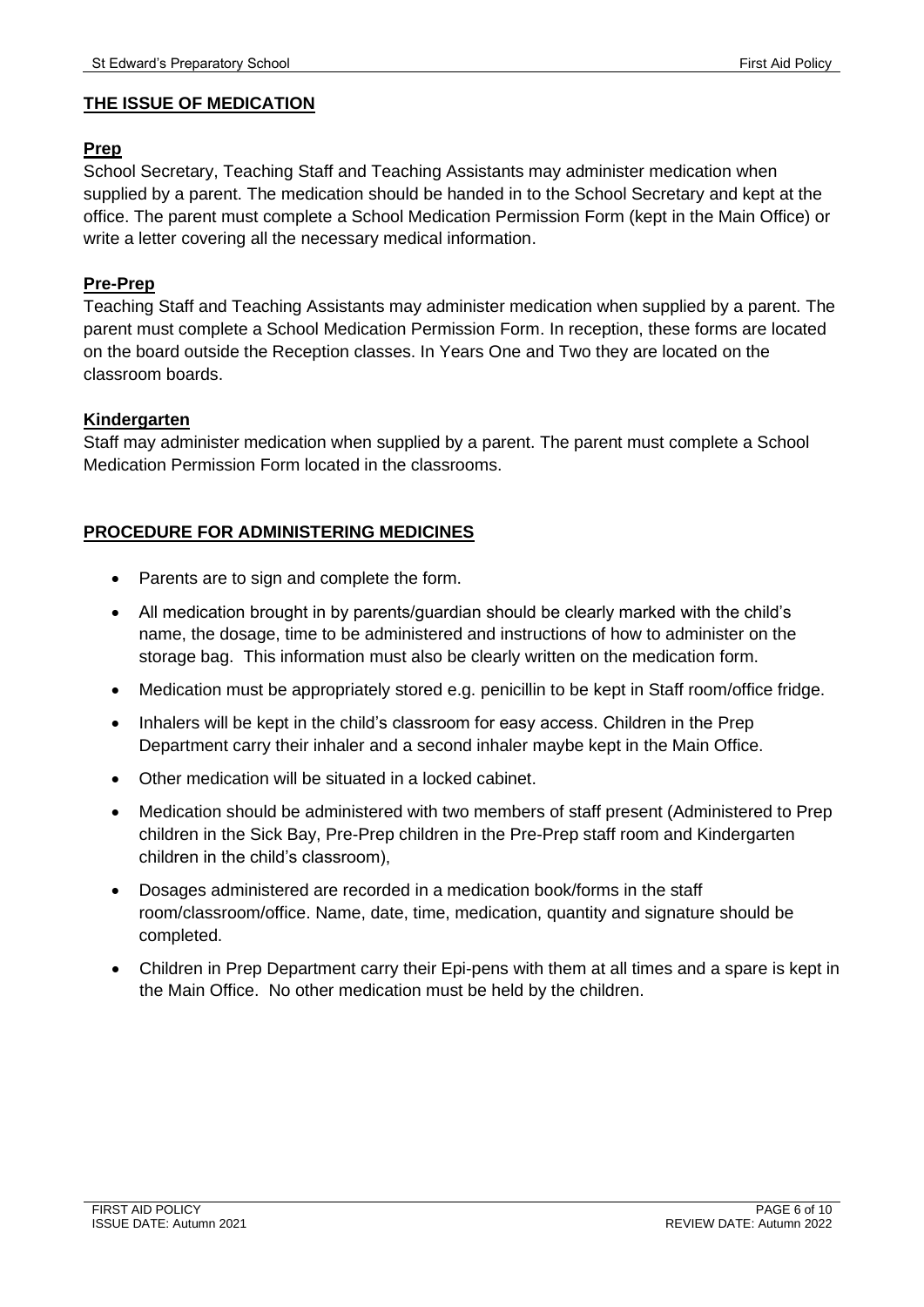#### **THE ISSUE OF MEDICATION**

#### **Prep**

School Secretary, Teaching Staff and Teaching Assistants may administer medication when supplied by a parent. The medication should be handed in to the School Secretary and kept at the office. The parent must complete a School Medication Permission Form (kept in the Main Office) or write a letter covering all the necessary medical information.

#### **Pre-Prep**

Teaching Staff and Teaching Assistants may administer medication when supplied by a parent. The parent must complete a School Medication Permission Form. In reception, these forms are located on the board outside the Reception classes. In Years One and Two they are located on the classroom boards.

#### **Kindergarten**

Staff may administer medication when supplied by a parent. The parent must complete a School Medication Permission Form located in the classrooms.

#### **PROCEDURE FOR ADMINISTERING MEDICINES**

- Parents are to sign and complete the form.
- All medication brought in by parents/guardian should be clearly marked with the child's name, the dosage, time to be administered and instructions of how to administer on the storage bag. This information must also be clearly written on the medication form.
- Medication must be appropriately stored e.g. penicillin to be kept in Staff room/office fridge.
- Inhalers will be kept in the child's classroom for easy access. Children in the Prep Department carry their inhaler and a second inhaler maybe kept in the Main Office.
- Other medication will be situated in a locked cabinet.
- Medication should be administered with two members of staff present (Administered to Prep children in the Sick Bay, Pre-Prep children in the Pre-Prep staff room and Kindergarten children in the child's classroom),
- Dosages administered are recorded in a medication book/forms in the staff room/classroom/office. Name, date, time, medication, quantity and signature should be completed.
- Children in Prep Department carry their Epi-pens with them at all times and a spare is kept in the Main Office. No other medication must be held by the children.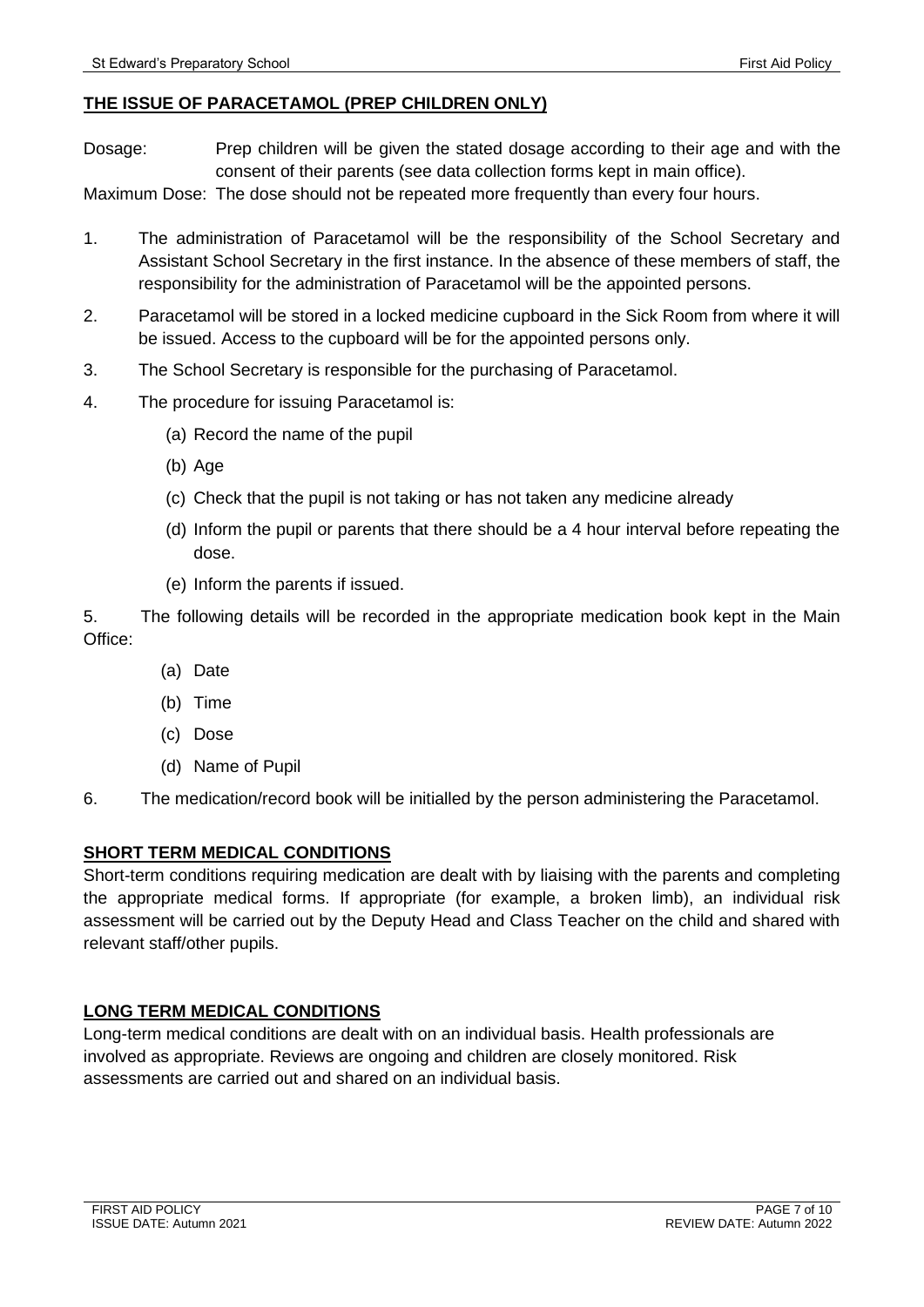#### **THE ISSUE OF PARACETAMOL (PREP CHILDREN ONLY)**

Dosage: Prep children will be given the stated dosage according to their age and with the consent of their parents (see data collection forms kept in main office).

Maximum Dose: The dose should not be repeated more frequently than every four hours.

- 1. The administration of Paracetamol will be the responsibility of the School Secretary and Assistant School Secretary in the first instance. In the absence of these members of staff, the responsibility for the administration of Paracetamol will be the appointed persons.
- 2. Paracetamol will be stored in a locked medicine cupboard in the Sick Room from where it will be issued. Access to the cupboard will be for the appointed persons only.
- 3. The School Secretary is responsible for the purchasing of Paracetamol.
- 4. The procedure for issuing Paracetamol is:
	- (a) Record the name of the pupil
	- (b) Age
	- (c) Check that the pupil is not taking or has not taken any medicine already
	- (d) Inform the pupil or parents that there should be a 4 hour interval before repeating the dose.
	- (e) Inform the parents if issued.

5. The following details will be recorded in the appropriate medication book kept in the Main Office:

- (a) Date
- (b) Time
- (c) Dose
- (d) Name of Pupil
- 6. The medication/record book will be initialled by the person administering the Paracetamol.

#### **SHORT TERM MEDICAL CONDITIONS**

Short-term conditions requiring medication are dealt with by liaising with the parents and completing the appropriate medical forms. If appropriate (for example, a broken limb), an individual risk assessment will be carried out by the Deputy Head and Class Teacher on the child and shared with relevant staff/other pupils.

#### **LONG TERM MEDICAL CONDITIONS**

Long-term medical conditions are dealt with on an individual basis. Health professionals are involved as appropriate. Reviews are ongoing and children are closely monitored. Risk assessments are carried out and shared on an individual basis.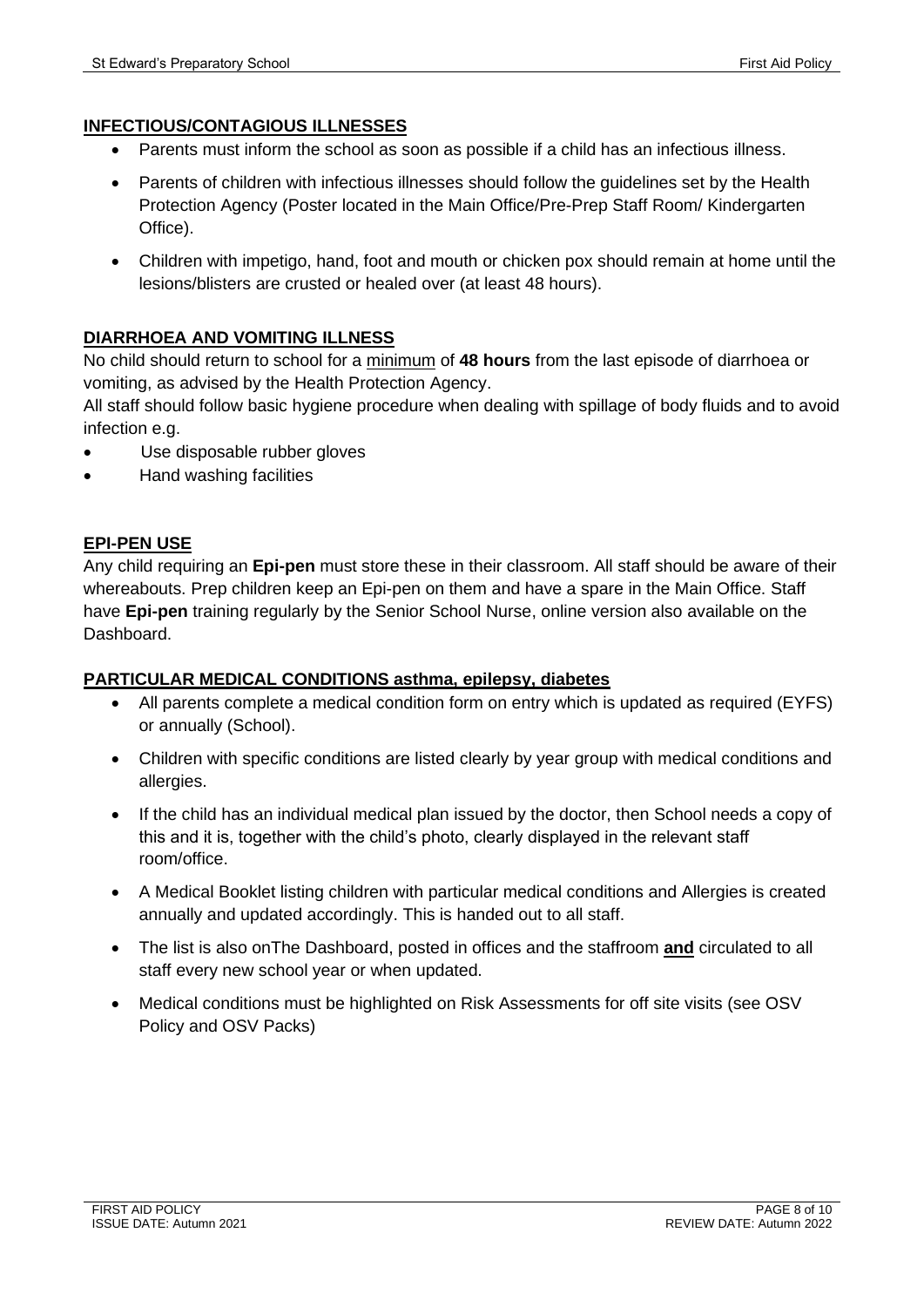#### **INFECTIOUS/CONTAGIOUS ILLNESSES**

- Parents must inform the school as soon as possible if a child has an infectious illness.
- Parents of children with infectious illnesses should follow the guidelines set by the Health Protection Agency (Poster located in the Main Office/Pre-Prep Staff Room/ Kindergarten Office).
- Children with impetigo, hand, foot and mouth or chicken pox should remain at home until the lesions/blisters are crusted or healed over (at least 48 hours).

#### **DIARRHOEA AND VOMITING ILLNESS**

No child should return to school for a minimum of **48 hours** from the last episode of diarrhoea or vomiting, as advised by the Health Protection Agency.

All staff should follow basic hygiene procedure when dealing with spillage of body fluids and to avoid infection e.g.

- Use disposable rubber gloves
- Hand washing facilities

#### **EPI-PEN USE**

Any child requiring an **Epi-pen** must store these in their classroom. All staff should be aware of their whereabouts. Prep children keep an Epi-pen on them and have a spare in the Main Office. Staff have **Epi-pen** training regularly by the Senior School Nurse, online version also available on the Dashboard.

#### **PARTICULAR MEDICAL CONDITIONS asthma, epilepsy, diabetes**

- All parents complete a medical condition form on entry which is updated as required (EYFS) or annually (School).
- Children with specific conditions are listed clearly by year group with medical conditions and allergies.
- If the child has an individual medical plan issued by the doctor, then School needs a copy of this and it is, together with the child's photo, clearly displayed in the relevant staff room/office.
- A Medical Booklet listing children with particular medical conditions and Allergies is created annually and updated accordingly. This is handed out to all staff.
- The list is also onThe Dashboard, posted in offices and the staffroom **and** circulated to all staff every new school year or when updated.
- Medical conditions must be highlighted on Risk Assessments for off site visits (see OSV Policy and OSV Packs)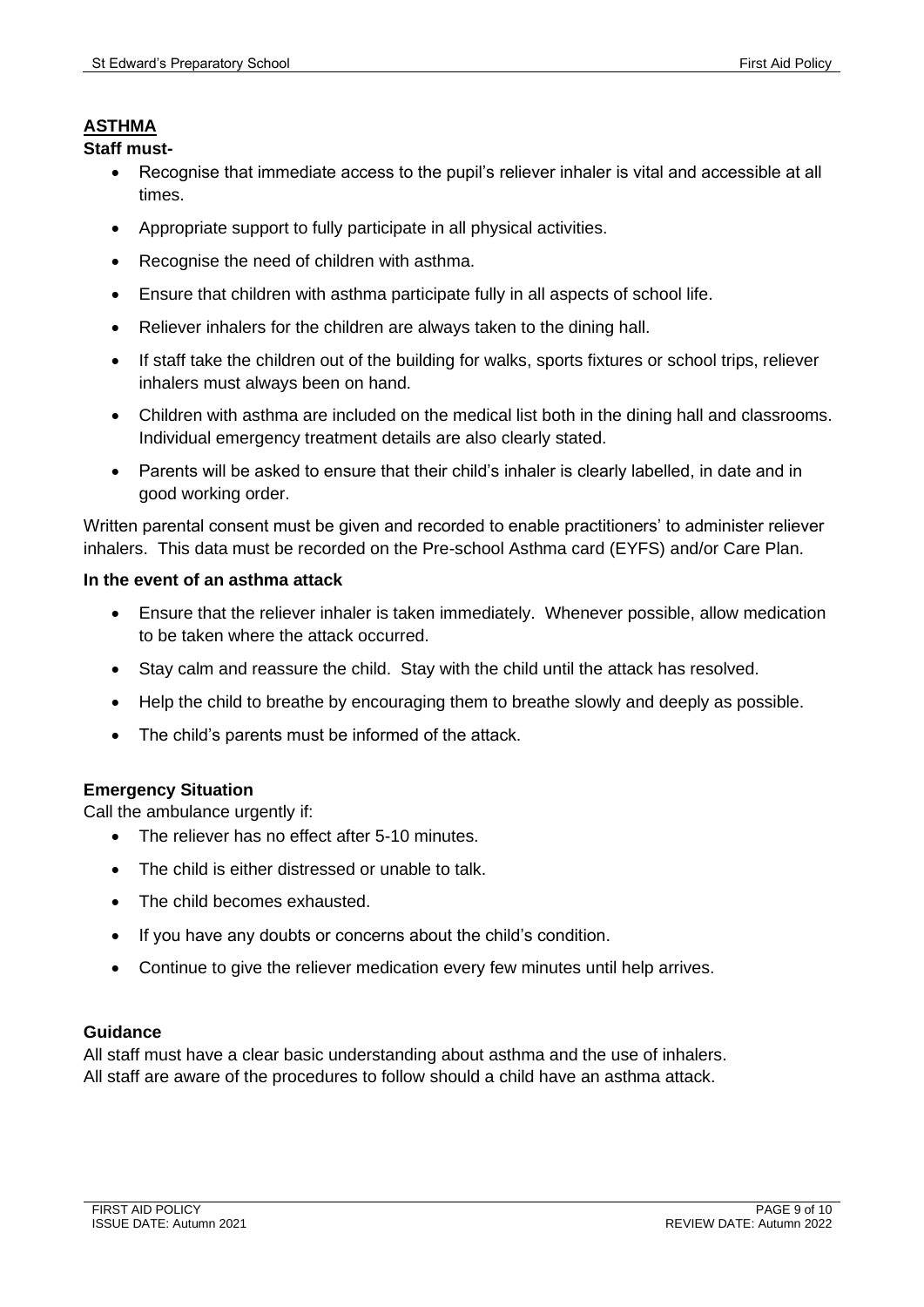#### **ASTHMA**

**Staff must-**

- Recognise that immediate access to the pupil's reliever inhaler is vital and accessible at all times.
- Appropriate support to fully participate in all physical activities.
- Recognise the need of children with asthma.
- Ensure that children with asthma participate fully in all aspects of school life.
- Reliever inhalers for the children are always taken to the dining hall.
- If staff take the children out of the building for walks, sports fixtures or school trips, reliever inhalers must always been on hand.
- Children with asthma are included on the medical list both in the dining hall and classrooms. Individual emergency treatment details are also clearly stated.
- Parents will be asked to ensure that their child's inhaler is clearly labelled, in date and in good working order.

Written parental consent must be given and recorded to enable practitioners' to administer reliever inhalers. This data must be recorded on the Pre-school Asthma card (EYFS) and/or Care Plan.

#### **In the event of an asthma attack**

- Ensure that the reliever inhaler is taken immediately. Whenever possible, allow medication to be taken where the attack occurred.
- Stay calm and reassure the child. Stay with the child until the attack has resolved.
- Help the child to breathe by encouraging them to breathe slowly and deeply as possible.
- The child's parents must be informed of the attack.

#### **Emergency Situation**

Call the ambulance urgently if:

- The reliever has no effect after 5-10 minutes.
- The child is either distressed or unable to talk.
- The child becomes exhausted.
- If you have any doubts or concerns about the child's condition.
- Continue to give the reliever medication every few minutes until help arrives.

#### **Guidance**

All staff must have a clear basic understanding about asthma and the use of inhalers. All staff are aware of the procedures to follow should a child have an asthma attack.